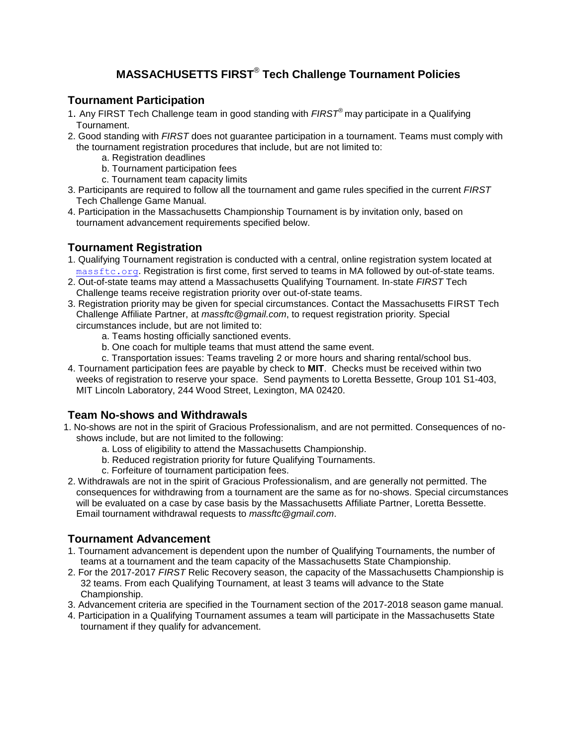# **MASSACHUSETTS FIRST**® **Tech Challenge Tournament Policies**

### **Tournament Participation**

- 1. Any FIRST Tech Challenge team in good standing with *FIRST*® may participate in a Qualifying Tournament.
- 2. Good standing with *FIRST* does not guarantee participation in a tournament. Teams must comply with the tournament registration procedures that include, but are not limited to:
	- a. Registration deadlines
	- b. Tournament participation fees
	- c. Tournament team capacity limits
- 3. Participants are required to follow all the tournament and game rules specified in the current *FIRST* Tech Challenge Game Manual.
- 4. Participation in the Massachusetts Championship Tournament is by invitation only, based on tournament advancement requirements specified below.

### **Tournament Registration**

- 1. Qualifying Tournament registration is conducted with a central, online registration system located at [massftc.org](http://www.massftc.org/). Registration is first come, first served to teams in MA followed by out-of-state teams.
- 2. Out-of-state teams may attend a Massachusetts Qualifying Tournament. In-state *FIRST* Tech Challenge teams receive registration priority over out-of-state teams.
- 3. Registration priority may be given for special circumstances. Contact the Massachusetts FIRST Tech Challenge Affiliate Partner, at *massftc@gmail.com*, to request registration priority. Special circumstances include, but are not limited to:
	- a. Teams hosting officially sanctioned events.
	- b. One coach for multiple teams that must attend the same event.
	- c. Transportation issues: Teams traveling 2 or more hours and sharing rental/school bus.
- 4. Tournament participation fees are payable by check to **MIT**. Checks must be received within two weeks of registration to reserve your space. Send payments to Loretta Bessette, Group 101 S1-403, MIT Lincoln Laboratory, 244 Wood Street, Lexington, MA 02420.

## **Team No-shows and Withdrawals**

- 1. No-shows are not in the spirit of Gracious Professionalism, and are not permitted. Consequences of noshows include, but are not limited to the following:
	- a. Loss of eligibility to attend the Massachusetts Championship.
	- b. Reduced registration priority for future Qualifying Tournaments.
	- c. Forfeiture of tournament participation fees.
- 2. Withdrawals are not in the spirit of Gracious Professionalism, and are generally not permitted. The consequences for withdrawing from a tournament are the same as for no-shows. Special circumstances will be evaluated on a case by case basis by the Massachusetts Affiliate Partner, Loretta Bessette. Email tournament withdrawal requests to *massftc@gmail.com*.

#### **Tournament Advancement**

- 1. Tournament advancement is dependent upon the number of Qualifying Tournaments, the number of teams at a tournament and the team capacity of the Massachusetts State Championship.
- 2. For the 2017-2017 *FIRST* Relic Recovery season, the capacity of the Massachusetts Championship is 32 teams. From each Qualifying Tournament, at least 3 teams will advance to the State Championship.
- 3. Advancement criteria are specified in the Tournament section of the 2017-2018 season game manual.
- 4. Participation in a Qualifying Tournament assumes a team will participate in the Massachusetts State tournament if they qualify for advancement.